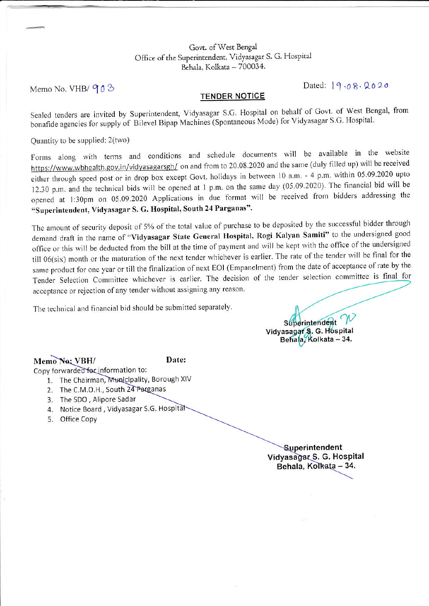#### Govt. of West Bengal Office of the Superintendent, Vidyasagar S. G. Hospital Behala, Kolkata - 700034.

Memo No. VHB/ 903

Dated:  $9.08.2020$ 

### **TENDER NOTICE**

Sealed tenders are invited by Superintendent, Vidyasagar S.G. Hospital on behalf of Govt. of West Bengal, from bonafide agencies for supply of Bilevel Bipap Machines (Spontaneous Mode) for Vidyasagar S.G. Hospital.

Quantity to be supplied: 2(two)

Forms along with terms and conditions and schedule documents will be available in the website https://www.wbhealth.gov.in/vidyasagarsgh/ on and from to 20.08.2020 and the same (duly filled up) will be received either through speed post or in drop box except Govt. holidays in between 10 a.m. - 4 p.m. within 05.09.2020 upto 12.30 p.m. and the technical bids will be opened at 1 p.m. on the same day (05.09.2020). The financial bid will be opened at 1:30pm on 05.09.2020 Applications in due format will be received from bidders addressing the "Superintendent, Vidyasagar S. G. Hospital, South 24 Parganas".

The amount of security deposit of 5% of the total value of purchase to be deposited by the successful bidder through demand draft in the name of "Vidyasagar State General Hospital, Rogi Kalyan Samiti" to the undersigned good office or this will be deducted from the bill at the time of payment and will be kept with the office of the undersigned till 06(six) month or the maturation of the next tender whichever is earlier. The rate of the tender will be final for the same product for one year or till the finalization of next EOI (Empanelment) from the date of acceptance of rate by the Tender Selection Committee whichever is earlier. The decision of the tender selection committee is final for acceptance or rejection of any tender without assigning any reason.

The technical and financial bid should be submitted separately.

Superintendent Vidyasagar S. G. Hospital<br>Behala, Kolkata – 34.

Memo No: VBH/

### Date:

Copy forwarded for information to:

- 1. The Chairman, Municipality, Borough XIV
- 2. The C.M.O.H., South 24 Parganas
- 3. The SDO, Alipore Sadar
- 4. Notice Board, Vidyasagar S.G. Hospital
- 5. Office Copy

Superintendent Vidyasagar S. G. Hospital Behala, Kolkata - 34.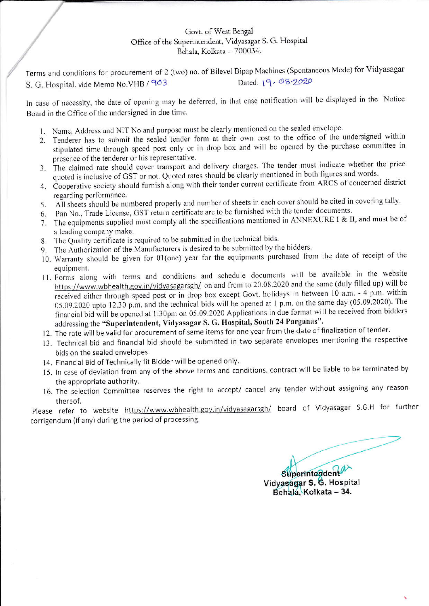## Govt. of West Bengal Office of the Superintendent, Vidyasagar S. G. Hospital Behala, Kolkata - 700034.

Terms and conditions for procurement of 2 (two) no. of Bilevel Bipap Machines (Spontaneous Mode) for Vidyasagar Dated. 19.08-2020 S. G. Hospital. vide Memo No. VHB / 903

In case of necessity, the date of opening may be deferred, in that case notification will be displayed in the Notice Board in the Office of the undersigned in due time.

- 1. Name, Address and NIT No and purpose must be clearly mentioned on the sealed envelope.
- 2. Tenderer has to submit the sealed tender form at their own cost to the office of the undersigned within stipulated time through speed post only or in drop box and will be opened by the purchase committee in presence of the tenderer or his representative.
- 3. The claimed rate should cover transport and delivery charges. The tender must indicate whether the price quoted is inclusive of GST or not. Quoted rates should be clearly mentioned in both figures and words.
- 4. Cooperative society should furnish along with their tender current certificate from ARCS of concerned district regarding performance.
- 5. All sheets should be numbered properly and number of sheets in each cover should be cited in covering tally.
- 6. Pan No., Trade License, GST return certificate are to be furnished with the tender documents.
- 7. The equipments supplied must comply all the specifications mentioned in ANNEXURE I & II, and must be of a leading company make.
- 8. The Quality certificate is required to be submitted in the technical bids.
- 9. The Authorization of the Manufacturers is desired to be submitted by the bidders.
- 10. Warranty should be given for 01(one) year for the equipments purchased from the date of receipt of the equipment.
- 11. Forms along with terms and conditions and schedule documents will be available in the website https://www.wbhealth.gov.in/vidyasagarsgh/ on and from to 20.08.2020 and the same (duly filled up) will be received either through speed post or in drop box except Govt. holidays in between 10 a.m. - 4 p.m. within 05.09.2020 upto 12.30 p.m. and the technical bids will be opened at 1 p.m. on the same day (05.09.2020). The financial bid will be opened at 1:30pm on 05.09.2020 Applications in due format will be received from bidders addressing the "Superintendent, Vidyasagar S. G. Hospital, South 24 Parganas".
- 12. The rate will be valid for procurement of same items for one year from the date of finalization of tender.
- 13. Technical bid and financial bid should be submitted in two separate envelopes mentioning the respective bids on the sealed envelopes.
- 14. Financial Bid of Technically fit Bidder will be opened only.
- 15. In case of deviation from any of the above terms and conditions, contract will be liable to be terminated by the appropriate authority.
- 16. The selection Committee reserves the right to accept/ cancel any tender without assigning any reason thereof.

Please refer to website https://www.wbhealth.gov.in/vidyasagarsgh/ board of Vidyasagar S.G.H for further corrigendum (if any) during the period of processing.

Superintender

Vidyasagar S. G. Hospital Behala, Kolkata - 34.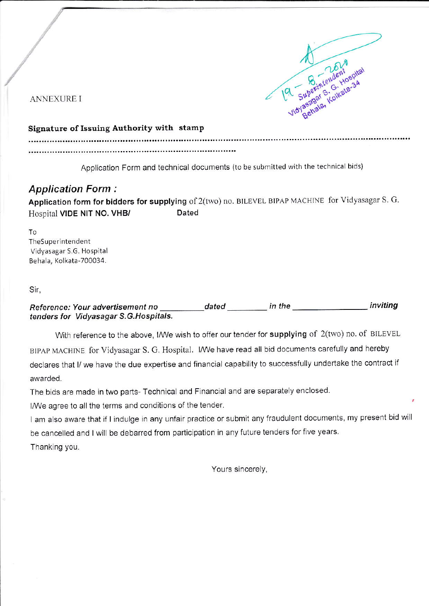

**ANNEXURE I** 

# Signature of Issuing Authority with stamp

Application Form and technical documents (to be submitted with the technical bids)

# **Application Form:**

Application form for bidders for supplying of 2(two) no. BILEVEL BIPAP MACHINE for Vidyasagar S. G. Dated Hospital VIDE NIT NO. VHB/

To TheSuperintendent Vidyasagar S.G. Hospital Behala, Kolkata-700034.

## Sir,

inviting Reference: Your advertisement no tenders for Vidyasagar S.G. Hospitals.

With reference to the above, I/We wish to offer our tender for supplying of 2(two) no. of BILEVEL BIPAP MACHINE for Vidyasagar S. G. Hospital. I/We have read all bid documents carefully and hereby declares that I/ we have the due expertise and financial capability to successfully undertake the contract if awarded.

The bids are made in two parts- Technical and Financial and are separately enclosed.

I/We agree to all the terms and conditions of the tender.

I am also aware that if I indulge in any unfair practice or submit any fraudulent documents, my present bid will be cancelled and I will be debarred from participation in any future tenders for five years. Thanking you.

Yours sincerely,